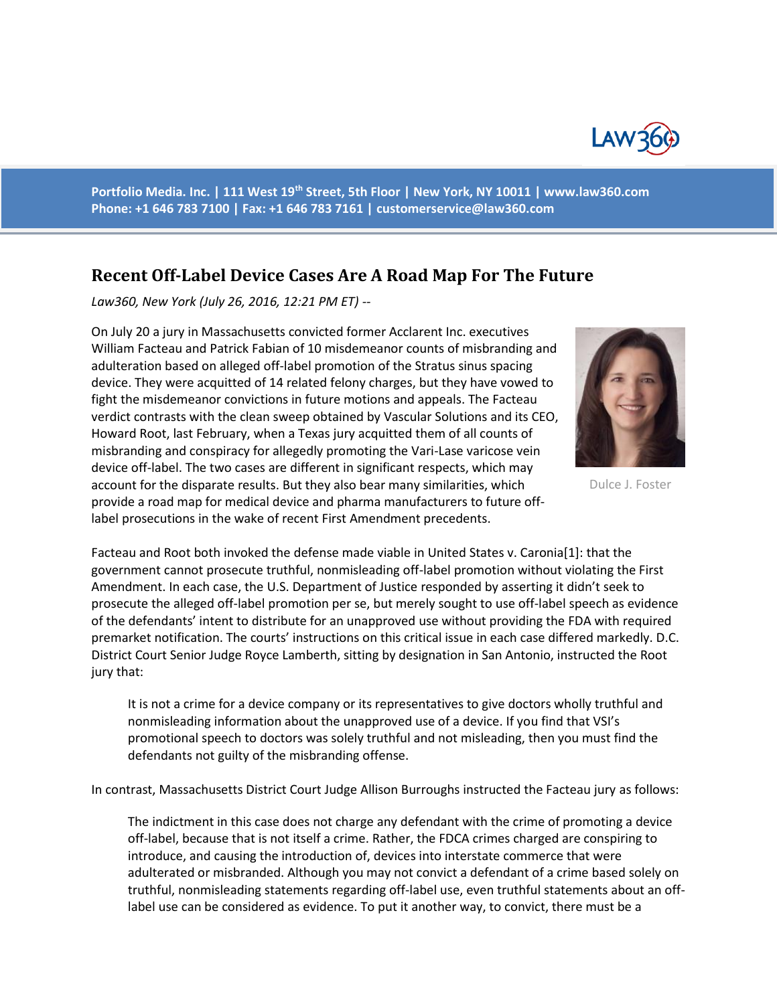

**Portfolio Media. Inc. | 111 West 19th Street, 5th Floor | New York, NY 10011 | www.law360.com Phone: +1 646 783 7100 | Fax: +1 646 783 7161 | [customerservice@law360.com](mailto:customerservice@law360.com)**

## **Recent Off-Label Device Cases Are A Road Map For The Future**

*Law360, New York (July 26, 2016, 12:21 PM ET) --*

On July 20 a jury in Massachusetts convicted former Acclarent Inc. executives William Facteau and Patrick Fabian of 10 misdemeanor counts of misbranding and adulteration based on alleged off-label promotion of the Stratus sinus spacing device. They were acquitted of 14 related felony charges, but they have vowed to fight the misdemeanor convictions in future motions and appeals. The Facteau verdict contrasts with the clean sweep obtained by Vascular Solutions and its CEO, Howard Root, last February, when a Texas jury acquitted them of all counts of misbranding and conspiracy for allegedly promoting the Vari-Lase varicose vein device off-label. The two cases are different in significant respects, which may account for the disparate results. But they also bear many similarities, which provide a road map for medical device and pharma manufacturers to future offlabel prosecutions in the wake of recent First Amendment precedents.



Dulce J. Foster

Facteau and Root both invoked the defense made viable in United States v. Caronia[1]: that the government cannot prosecute truthful, nonmisleading off-label promotion without violating the First Amendment. In each case, the U.S. Department of Justice responded by asserting it didn't seek to prosecute the alleged off-label promotion per se, but merely sought to use off-label speech as evidence of the defendants' intent to distribute for an unapproved use without providing the FDA with required premarket notification. The courts' instructions on this critical issue in each case differed markedly. D.C. District Court Senior Judge Royce Lamberth, sitting by designation in San Antonio, instructed the Root jury that:

It is not a crime for a device company or its representatives to give doctors wholly truthful and nonmisleading information about the unapproved use of a device. If you find that VSI's promotional speech to doctors was solely truthful and not misleading, then you must find the defendants not guilty of the misbranding offense.

In contrast, Massachusetts District Court Judge Allison Burroughs instructed the Facteau jury as follows:

The indictment in this case does not charge any defendant with the crime of promoting a device off-label, because that is not itself a crime. Rather, the FDCA crimes charged are conspiring to introduce, and causing the introduction of, devices into interstate commerce that were adulterated or misbranded. Although you may not convict a defendant of a crime based solely on truthful, nonmisleading statements regarding off-label use, even truthful statements about an offlabel use can be considered as evidence. To put it another way, to convict, there must be a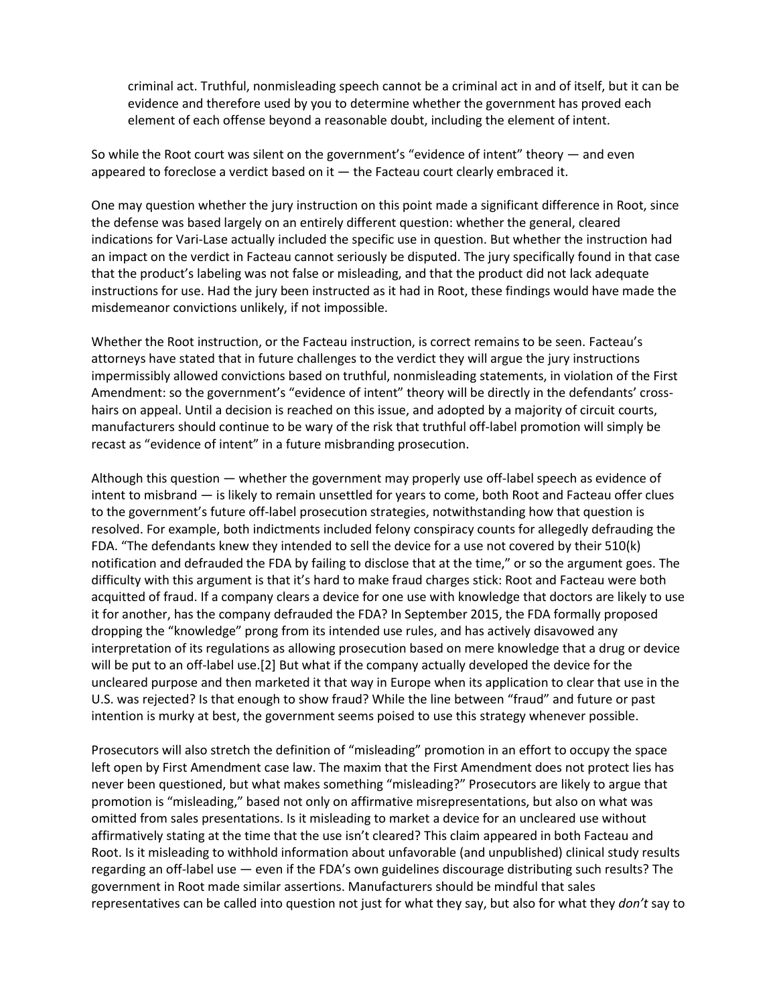criminal act. Truthful, nonmisleading speech cannot be a criminal act in and of itself, but it can be evidence and therefore used by you to determine whether the government has proved each element of each offense beyond a reasonable doubt, including the element of intent.

So while the Root court was silent on the government's "evidence of intent" theory — and even appeared to foreclose a verdict based on it  $-$  the Facteau court clearly embraced it.

One may question whether the jury instruction on this point made a significant difference in Root, since the defense was based largely on an entirely different question: whether the general, cleared indications for Vari-Lase actually included the specific use in question. But whether the instruction had an impact on the verdict in Facteau cannot seriously be disputed. The jury specifically found in that case that the product's labeling was not false or misleading, and that the product did not lack adequate instructions for use. Had the jury been instructed as it had in Root, these findings would have made the misdemeanor convictions unlikely, if not impossible.

Whether the Root instruction, or the Facteau instruction, is correct remains to be seen. Facteau's attorneys have stated that in future challenges to the verdict they will argue the jury instructions impermissibly allowed convictions based on truthful, nonmisleading statements, in violation of the First Amendment: so the government's "evidence of intent" theory will be directly in the defendants' crosshairs on appeal. Until a decision is reached on this issue, and adopted by a majority of circuit courts, manufacturers should continue to be wary of the risk that truthful off-label promotion will simply be recast as "evidence of intent" in a future misbranding prosecution.

Although this question — whether the government may properly use off-label speech as evidence of intent to misbrand — is likely to remain unsettled for years to come, both Root and Facteau offer clues to the government's future off-label prosecution strategies, notwithstanding how that question is resolved. For example, both indictments included felony conspiracy counts for allegedly defrauding the FDA. "The defendants knew they intended to sell the device for a use not covered by their 510(k) notification and defrauded the FDA by failing to disclose that at the time," or so the argument goes. The difficulty with this argument is that it's hard to make fraud charges stick: Root and Facteau were both acquitted of fraud. If a company clears a device for one use with knowledge that doctors are likely to use it for another, has the company defrauded the FDA? In September 2015, the FDA formally proposed dropping the "knowledge" prong from its intended use rules, and has actively disavowed any interpretation of its regulations as allowing prosecution based on mere knowledge that a drug or device will be put to an off-label use.[2] But what if the company actually developed the device for the uncleared purpose and then marketed it that way in Europe when its application to clear that use in the U.S. was rejected? Is that enough to show fraud? While the line between "fraud" and future or past intention is murky at best, the government seems poised to use this strategy whenever possible.

Prosecutors will also stretch the definition of "misleading" promotion in an effort to occupy the space left open by First Amendment case law. The maxim that the First Amendment does not protect lies has never been questioned, but what makes something "misleading?" Prosecutors are likely to argue that promotion is "misleading," based not only on affirmative misrepresentations, but also on what was omitted from sales presentations. Is it misleading to market a device for an uncleared use without affirmatively stating at the time that the use isn't cleared? This claim appeared in both Facteau and Root. Is it misleading to withhold information about unfavorable (and unpublished) clinical study results regarding an off-label use — even if the FDA's own guidelines discourage distributing such results? The government in Root made similar assertions. Manufacturers should be mindful that sales representatives can be called into question not just for what they say, but also for what they *don't* say to